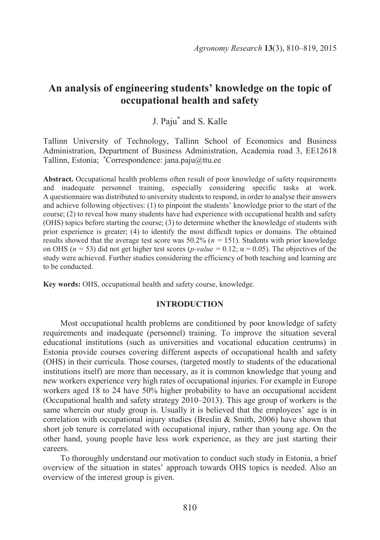# **An analysis of engineering students' knowledge on the topic of occupational health and safety**

# J. Paju\* and S. Kalle

Tallinn University of Technology, Tallinn School of Economics and Business Administration, Department of Business Administration, Academia road 3, EE12618 Tallinn, Estonia; \*Correspondence: jana.paju@ttu.ee

**Abstract.** Occupational health problems often result of poor knowledge of safety requirements and inadequate personnel training, especially considering specific tasks at work. A questionnaire was distributed to university students to respond, in order to analyse their answers and achieve following objectives: (1) to pinpoint the students' knowledge prior to the start of the course; (2) to reveal how many students have had experience with occupational health and safety (OHS) topics before starting the course; (3) to determine whether the knowledge of students with prior experience is greater; (4) to identify the most difficult topics or domains. The obtained results showed that the average test score was  $50.2\%$  ( $n = 151$ ). Students with prior knowledge on OHS ( $n = 53$ ) did not get higher test scores ( $p$ -value = 0.12;  $\alpha = 0.05$ ). The objectives of the study were achieved. Further studies considering the efficiency of both teaching and learning are to be conducted.

**Key words:** OHS, occupational health and safety course, knowledge.

#### **INTRODUCTION**

Most occupational health problems are conditioned by poor knowledge of safety requirements and inadequate (personnel) training. To improve the situation several educational institutions (such as universities and vocational education centrums) in Estonia provide courses covering different aspects of occupational health and safety (OHS) in their curricula. Those courses, (targeted mostly to students of the educational institutions itself) are more than necessary, as it is common knowledge that young and new workers experience very high rates of occupational injuries. For example in Europe workers aged 18 to 24 have 50% higher probability to have an occupational accident (Occupational health and safety strategy 2010–2013). This age group of workers is the same wherein our study group is. Usually it is believed that the employees' age is in correlation with occupational injury studies (Breslin  $\&$  Smith, 2006) have shown that short job tenure is correlated with occupational injury, rather than young age. On the other hand, young people have less work experience, as they are just starting their careers.

To thoroughly understand our motivation to conduct such study in Estonia, a brief overview of the situation in states' approach towards OHS topics is needed. Also an overview of the interest group is given.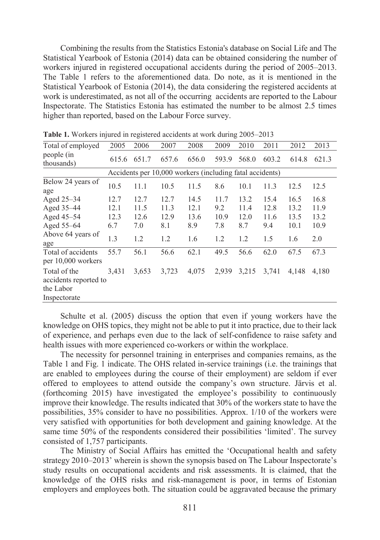Combining the results from the Statistics Estonia's database on Social Life and The Statistical Yearbook of Estonia (2014) data can be obtained considering the number of workers injured in registered occupational accidents during the period of 2005–2013. The Table 1 refers to the aforementioned data. Do note, as it is mentioned in the Statistical Yearbook of Estonia (2014), the data considering the registered accidents at work is underestimated, as not all of the occurring accidents are reported to the Labour Inspectorate. The Statistics Estonia has estimated the number to be almost 2.5 times higher than reported, based on the Labour Force survey.

| Total of employed                                                  | 2005  | 2006  | 2007                                                     | 2008  | 2009  | 2010  | 2011  | 2012  | 2013  |
|--------------------------------------------------------------------|-------|-------|----------------------------------------------------------|-------|-------|-------|-------|-------|-------|
| people (in<br>thousands)                                           | 615.6 | 651.7 | 657.6                                                    | 656.0 | 593.9 | 568.0 | 603.2 | 614.8 | 621.3 |
|                                                                    |       |       | Accidents per 10,000 workers (including fatal accidents) |       |       |       |       |       |       |
| Below 24 years of<br>age                                           | 10.5  | 11.1  | 10.5                                                     | 11.5  | 8.6   | 10.1  | 11.3  | 12.5  | 12.5  |
| Aged 25-34                                                         | 12.7  | 12.7  | 12.7                                                     | 14.5  | 11.7  | 13.2  | 15.4  | 16.5  | 16.8  |
| Aged 35-44                                                         | 12.1  | 11.5  | 11.3                                                     | 12.1  | 9.2   | 11.4  | 12.8  | 13.2  | 11.9  |
| Aged 45-54                                                         | 12.3  | 12.6  | 12.9                                                     | 13.6  | 10.9  | 12.0  | 11.6  | 13.5  | 13.2  |
| Aged 55-64                                                         | 6.7   | 7.0   | 8.1                                                      | 8.9   | 7.8   | 8.7   | 9.4   | 10.1  | 10.9  |
| Above 64 years of<br>age                                           | 1.3   | 1.2   | 1.2                                                      | 1.6   | 1.2   | 1.2   | 1.5   | 1.6   | 2.0   |
| Total of accidents<br>per 10,000 workers                           | 55.7  | 56.1  | 56.6                                                     | 62.1  | 49.5  | 56.6  | 62.0  | 67.5  | 67.3  |
| Total of the<br>accidents reported to<br>the Labor<br>Inspectorate | 3,431 | 3,653 | 3,723                                                    | 4,075 | 2,939 | 3,215 | 3,741 | 4,148 | 4,180 |

**Table 1.** Workers injured in registered accidents at work during 2005–2013

Schulte et al. (2005) discuss the option that even if young workers have the knowledge on OHS topics, they might not be able to put it into practice, due to their lack of experience, and perhaps even due to the lack of self-confidence to raise safety and health issues with more experienced co-workers or within the workplace.

The necessity for personnel training in enterprises and companies remains, as the Table 1 and Fig. 1 indicate. The OHS related in-service trainings (i.e. the trainings that are enabled to employees during the course of their employment) are seldom if ever offered to employees to attend outside the company's own structure. Järvis et al. (forthcoming 2015) have investigated the employee's possibility to continuously improve their knowledge. The results indicated that 30% of the workers state to have the possibilities, 35% consider to have no possibilities. Approx. 1/10 of the workers were very satisfied with opportunities for both development and gaining knowledge. At the same time 50% of the respondents considered their possibilities 'limited'. The survey consisted of 1,757 participants.

The Ministry of Social Affairs has emitted the 'Occupational health and safety strategy 2010–2013' wherein is shown the synopsis based on The Labour Inspectorate's study results on occupational accidents and risk assessments. It is claimed, that the knowledge of the OHS risks and risk-management is poor, in terms of Estonian employers and employees both. The situation could be aggravated because the primary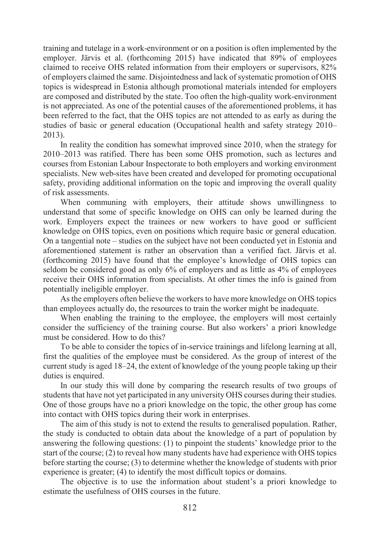training and tutelage in a work-environment or on a position is often implemented by the employer. Järvis et al. (forthcoming 2015) have indicated that 89% of employees claimed to receive OHS related information from their employers or supervisors, 82% of employers claimed the same. Disjointedness and lack of systematic promotion of OHS topics is widespread in Estonia although promotional materials intended for employers are composed and distributed by the state. Too often the high-quality work-environment is not appreciated. As one of the potential causes of the aforementioned problems, it has been referred to the fact, that the OHS topics are not attended to as early as during the studies of basic or general education (Occupational health and safety strategy 2010– 2013).

In reality the condition has somewhat improved since 2010, when the strategy for 2010–2013 was ratified. There has been some OHS promotion, such as lectures and courses from Estonian Labour Inspectorate to both employers and working environment specialists. New web-sites have been created and developed for promoting occupational safety, providing additional information on the topic and improving the overall quality of risk assessments.

When communing with employers, their attitude shows unwillingness to understand that some of specific knowledge on OHS can only be learned during the work. Employers expect the trainees or new workers to have good or sufficient knowledge on OHS topics, even on positions which require basic or general education. On a tangential note – studies on the subject have not been conducted yet in Estonia and aforementioned statement is rather an observation than a verified fact. Järvis et al. (forthcoming 2015) have found that the employee's knowledge of OHS topics can seldom be considered good as only 6% of employers and as little as 4% of employees receive their OHS information from specialists. At other times the info is gained from potentially ineligible employer.

As the employers often believe the workers to have more knowledge on OHS topics than employees actually do, the resources to train the worker might be inadequate.

When enabling the training to the employee, the employers will most certainly consider the sufficiency of the training course. But also workers' a priori knowledge must be considered. How to do this?

To be able to consider the topics of in-service trainings and lifelong learning at all, first the qualities of the employee must be considered. As the group of interest of the current study is aged 18–24, the extent of knowledge of the young people taking up their duties is enquired.

In our study this will done by comparing the research results of two groups of students that have not yet participated in any university OHS courses during their studies. One of those groups have no a priori knowledge on the topic, the other group has come into contact with OHS topics during their work in enterprises.

The aim of this study is not to extend the results to generalised population. Rather, the study is conducted to obtain data about the knowledge of a part of population by answering the following questions: (1) to pinpoint the students' knowledge prior to the start of the course; (2) to reveal how many students have had experience with OHS topics before starting the course; (3) to determine whether the knowledge of students with prior experience is greater; (4) to identify the most difficult topics or domains.

The objective is to use the information about student's a priori knowledge to estimate the usefulness of OHS courses in the future.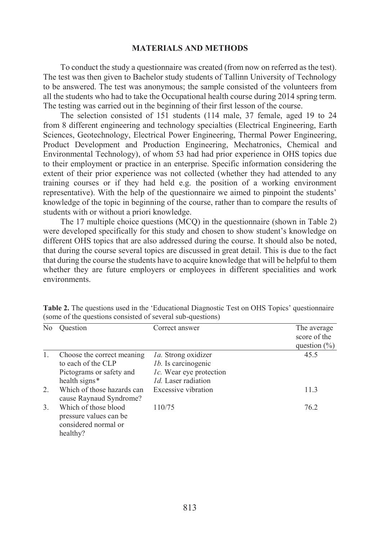#### **MATERIALS AND METHODS**

To conduct the study a questionnaire was created (from now on referred as the test). The test was then given to Bachelor study students of Tallinn University of Technology to be answered. The test was anonymous; the sample consisted of the volunteers from all the students who had to take the Occupational health course during 2014 spring term. The testing was carried out in the beginning of their first lesson of the course.

The selection consisted of 151 students (114 male, 37 female, aged 19 to 24 from 8 different engineering and technology specialties (Electrical Engineering, Earth Sciences, Geotechnology, Electrical Power Engineering, Thermal Power Engineering, Product Development and Production Engineering, Mechatronics, Chemical and Environmental Technology), of whom 53 had had prior experience in OHS topics due to their employment or practice in an enterprise. Specific information considering the extent of their prior experience was not collected (whether they had attended to any training courses or if they had held e.g. the position of a working environment representative). With the help of the questionnaire we aimed to pinpoint the students' knowledge of the topic in beginning of the course, rather than to compare the results of students with or without a priori knowledge.

The 17 multiple choice questions (MCQ) in the questionnaire (shown in Table 2) were developed specifically for this study and chosen to show student's knowledge on different OHS topics that are also addressed during the course. It should also be noted, that during the course several topics are discussed in great detail. This is due to the fact that during the course the students have to acquire knowledge that will be helpful to them whether they are future employers or employees in different specialities and work environments.

| N <sub>0</sub>   | Ouestion                                                               | Correct answer                  | The average      |
|------------------|------------------------------------------------------------------------|---------------------------------|------------------|
|                  |                                                                        |                                 | score of the     |
|                  |                                                                        |                                 | question $(\% )$ |
|                  | Choose the correct meaning                                             | <i>la.</i> Strong oxidizer      | 45.5             |
|                  | to each of the CLP                                                     | <i>lb.</i> Is carcinogenic      |                  |
|                  | Pictograms or safety and                                               | <i>lc</i> . Wear eye protection |                  |
|                  | health signs*                                                          | <i>Id.</i> Laser radiation      |                  |
| $2_{1}$          | Which of those hazards can<br>cause Raynaud Syndrome?                  | Excessive vibration             | 11.3             |
| $\mathfrak{Z}$ . | Which of those blood<br>pressure values can be<br>considered normal or | 110/75                          | 76.2             |
|                  | healthy?                                                               |                                 |                  |

**Table 2.** The questions used in the 'Educational Diagnostic Test on OHS Topics' questionnaire (some of the questions consisted of several sub-questions)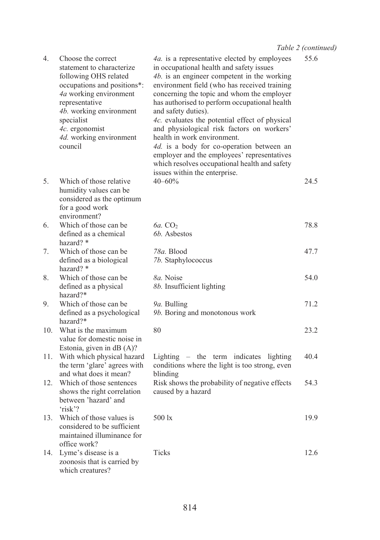| 4.  | Choose the correct<br>statement to characterize<br>following OHS related<br>occupations and positions*:<br>4a working environment<br>representative<br>4b. working environment<br>specialist<br>4c. ergonomist<br>4d. working environment<br>council | 4a. is a representative elected by employees<br>in occupational health and safety issues<br>4b. is an engineer competent in the working<br>environment field (who has received training<br>concerning the topic and whom the employer<br>has authorised to perform occupational health<br>and safety duties).<br>4c. evaluates the potential effect of physical<br>and physiological risk factors on workers'<br>health in work environment.<br>4d. is a body for co-operation between an<br>employer and the employees' representatives<br>which resolves occupational health and safety<br>issues within the enterprise. | 55.6 |
|-----|------------------------------------------------------------------------------------------------------------------------------------------------------------------------------------------------------------------------------------------------------|----------------------------------------------------------------------------------------------------------------------------------------------------------------------------------------------------------------------------------------------------------------------------------------------------------------------------------------------------------------------------------------------------------------------------------------------------------------------------------------------------------------------------------------------------------------------------------------------------------------------------|------|
| 5.  | Which of those relative<br>humidity values can be<br>considered as the optimum<br>for a good work<br>environment?                                                                                                                                    | $40 - 60%$                                                                                                                                                                                                                                                                                                                                                                                                                                                                                                                                                                                                                 | 24.5 |
| 6.  | Which of those can be<br>defined as a chemical<br>hazard? *                                                                                                                                                                                          | $6a$ . $CO2$<br>6b. Asbestos                                                                                                                                                                                                                                                                                                                                                                                                                                                                                                                                                                                               | 78.8 |
| 7.  | Which of those can be<br>defined as a biological<br>hazard? $*$                                                                                                                                                                                      | 78a. Blood<br>7b. Staphylococcus                                                                                                                                                                                                                                                                                                                                                                                                                                                                                                                                                                                           | 47.7 |
| 8.  | Which of those can be.<br>defined as a physical<br>hazard?*                                                                                                                                                                                          | 8a. Noise<br>8b. Insufficient lighting                                                                                                                                                                                                                                                                                                                                                                                                                                                                                                                                                                                     | 54.0 |
| 9.  | Which of those can be.<br>defined as a psychological<br>hazard?*                                                                                                                                                                                     | 9a. Bulling<br>9b. Boring and monotonous work                                                                                                                                                                                                                                                                                                                                                                                                                                                                                                                                                                              | 71.2 |
| 10. | What is the maximum<br>value for domestic noise in<br>Estonia, given in dB (A)?                                                                                                                                                                      | 80                                                                                                                                                                                                                                                                                                                                                                                                                                                                                                                                                                                                                         | 23.2 |
| 11. | With which physical hazard<br>the term 'glare' agrees with<br>and what does it mean?                                                                                                                                                                 | Lighting – the term indicates lighting<br>conditions where the light is too strong, even<br>blinding                                                                                                                                                                                                                                                                                                                                                                                                                                                                                                                       | 40.4 |
| 12. | Which of those sentences<br>shows the right correlation<br>between 'hazard' and<br>'risk??                                                                                                                                                           | Risk shows the probability of negative effects<br>caused by a hazard                                                                                                                                                                                                                                                                                                                                                                                                                                                                                                                                                       | 54.3 |
| 13. | Which of those values is<br>considered to be sufficient<br>maintained illuminance for<br>office work?                                                                                                                                                | $500 \text{ lx}$                                                                                                                                                                                                                                                                                                                                                                                                                                                                                                                                                                                                           | 19.9 |
| 14. | Lyme's disease is a<br>zoonosis that is carried by<br>which creatures?                                                                                                                                                                               | Ticks                                                                                                                                                                                                                                                                                                                                                                                                                                                                                                                                                                                                                      | 12.6 |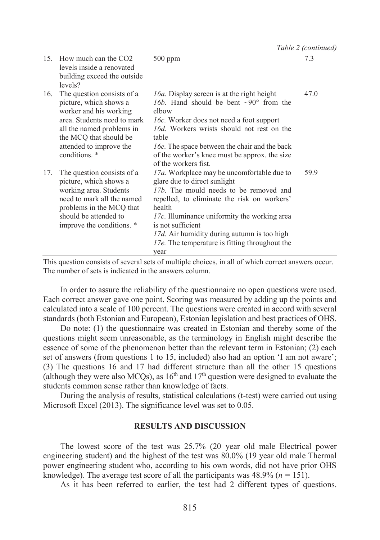|     |                                                                                                                                                                                                                  |                                                                                                                                                                                                                                                                                                                                                             | Table 2 (continued) |
|-----|------------------------------------------------------------------------------------------------------------------------------------------------------------------------------------------------------------------|-------------------------------------------------------------------------------------------------------------------------------------------------------------------------------------------------------------------------------------------------------------------------------------------------------------------------------------------------------------|---------------------|
|     | 15. How much can the CO2<br>levels inside a renovated<br>building exceed the outside<br>levels?                                                                                                                  | $500$ ppm                                                                                                                                                                                                                                                                                                                                                   | 7.3                 |
| 16. | The question consists of a<br>picture, which shows a<br>worker and his working<br>area. Students need to mark<br>all the named problems in<br>the MCQ that should be<br>attended to improve the<br>conditions. * | 16a. Display screen is at the right height<br>16b. Hand should be bent $\sim 90^\circ$ from the<br>elbow<br><i>lbc</i> . Worker does not need a foot support<br>16d. Workers wrists should not rest on the<br>table<br>16e. The space between the chair and the back<br>of the worker's knee must be approx, the size<br>of the workers fist                | 47.0                |
| 17. | The question consists of a<br>picture, which shows a<br>working area. Students<br>need to mark all the named<br>problems in the MCQ that<br>should be attended to<br>improve the conditions. *                   | 17a. Workplace may be uncomfortable due to<br>glare due to direct sunlight<br>17b. The mould needs to be removed and<br>repelled, to eliminate the risk on workers'<br>health<br>17c. Illuminance uniformity the working area<br>is not sufficient<br>17d. Air humidity during autumn is too high<br>17e. The temperature is fitting throughout the<br>year | 59.9                |

This question consists of several sets of multiple choices, in all of which correct answers occur. The number of sets is indicated in the answers column.

In order to assure the reliability of the questionnaire no open questions were used. Each correct answer gave one point. Scoring was measured by adding up the points and calculated into a scale of 100 percent. The questions were created in accord with several standards (both Estonian and European), Estonian legislation and best practices of OHS.

Do note: (1) the questionnaire was created in Estonian and thereby some of the questions might seem unreasonable, as the terminology in English might describe the essence of some of the phenomenon better than the relevant term in Estonian; (2) each set of answers (from questions 1 to 15, included) also had an option 'I am not aware'; (3) The questions 16 and 17 had different structure than all the other 15 questions (although they were also MCQs), as  $16<sup>th</sup>$  and  $17<sup>th</sup>$  question were designed to evaluate the students common sense rather than knowledge of facts.

During the analysis of results, statistical calculations (t-test) were carried out using Microsoft Excel (2013). The significance level was set to 0.05.

## **RESULTS AND DISCUSSION**

The lowest score of the test was 25.7% (20 year old male Electrical power engineering student) and the highest of the test was 80.0% (19 year old male Thermal power engineering student who, according to his own words, did not have prior OHS knowledge). The average test score of all the participants was  $48.9\%$  ( $n = 151$ ).

As it has been referred to earlier, the test had 2 different types of questions.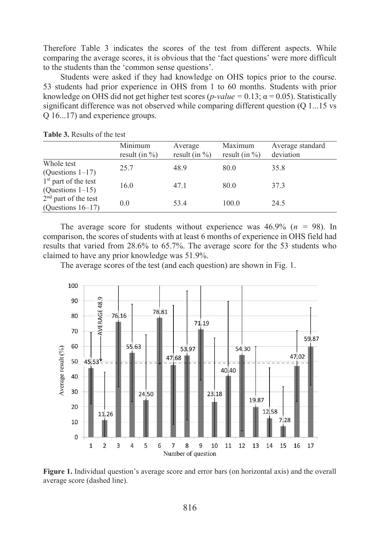Therefore Table 3 indicates the scores of the test from different aspects. While comparing the average scores, it is obvious that the 'fact questions' were more difficult to the students than the 'common sense questions'.

Students were asked if they had knowledge on OHS topics prior to the course. 53 students had prior experience in OHS from 1 to 60 months. Students with prior knowledge on OHS did not get higher test scores ( $p-value = 0.13$ ;  $\alpha = 0.05$ ). Statistically significant difference was not observed while comparing different question (Q 1...15 vs Q 16...17) and experience groups.

|                                                | Minimum<br>result (in $\%$ ) | Average<br>result (in $\%$ ) | Maximum<br>result (in $\%$ ) | Average standard<br>deviation |
|------------------------------------------------|------------------------------|------------------------------|------------------------------|-------------------------------|
| Whole test<br>(Questions $1-17$ )              | 25.7                         | 48.9                         | 80.0                         | 35.8                          |
| $1st$ part of the test<br>(Questions $1-15$ )  | 16.0                         | 47.1                         | 80.0                         | 37.3                          |
| $2nd$ part of the test<br>(Questions $16-17$ ) | 0.0                          | 53.4                         | 100.0                        | 24.5                          |

**Table 3.** Results of the test

The average score for students without experience was  $46.9\%$  ( $n = 98$ ). In comparison, the scores of students with at least 6 months of experience in OHS field had results that varied from 28.6% to 65.7%. The average score for the 53 students who claimed to have any prior knowledge was 51.9%.

The average scores of the test (and each question) are shown in Fig. 1.



**Figure 1.** Individual question's average score and error bars (on horizontal axis) and the overall average score (dashed line).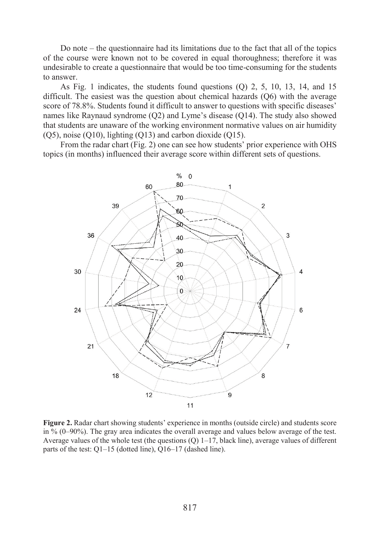Do note – the questionnaire had its limitations due to the fact that all of the topics of the course were known not to be covered in equal thoroughness; therefore it was undesirable to create a questionnaire that would be too time-consuming for the students to answer.

As Fig. 1 indicates, the students found questions (Q) 2, 5, 10, 13, 14, and 15 difficult. The easiest was the question about chemical hazards (Q6) with the average score of 78.8%. Students found it difficult to answer to questions with specific diseases' names like Raynaud syndrome (Q2) and Lyme's disease (Q14). The study also showed that students are unaware of the working environment normative values on air humidity (Q5), noise (Q10), lighting (Q13) and carbon dioxide (Q15).

From the radar chart (Fig. 2) one can see how students' prior experience with OHS topics (in months) influenced their average score within different sets of questions.



**Figure 2.** Radar chart showing students' experience in months (outside circle) and students score in % (0–90%). The gray area indicates the overall average and values below average of the test. Average values of the whole test (the questions  $(Q)$  1–17, black line), average values of different parts of the test: Q1–15 (dotted line), Q16–17 (dashed line).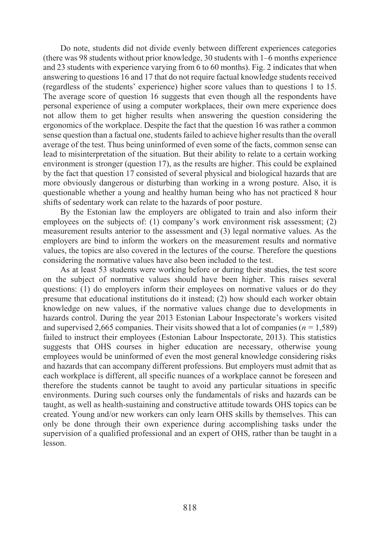Do note, students did not divide evenly between different experiences categories (there was 98 students without prior knowledge, 30 students with 1–6 months experience and 23 students with experience varying from 6 to 60 months). Fig. 2 indicates that when answering to questions 16 and 17 that do not require factual knowledge students received (regardless of the students' experience) higher score values than to questions 1 to 15. The average score of question 16 suggests that even though all the respondents have personal experience of using a computer workplaces, their own mere experience does not allow them to get higher results when answering the question considering the ergonomics of the workplace. Despite the fact that the question 16 was rather a common sense question than a factual one, students failed to achieve higher results than the overall average of the test. Thus being uninformed of even some of the facts, common sense can lead to misinterpretation of the situation. But their ability to relate to a certain working environment is stronger (question 17), as the results are higher. This could be explained by the fact that question 17 consisted of several physical and biological hazards that are more obviously dangerous or disturbing than working in a wrong posture. Also, it is questionable whether a young and healthy human being who has not practiced 8 hour shifts of sedentary work can relate to the hazards of poor posture.

By the Estonian law the employers are obligated to train and also inform their employees on the subjects of: (1) company's work environment risk assessment; (2) measurement results anterior to the assessment and (3) legal normative values. As the employers are bind to inform the workers on the measurement results and normative values, the topics are also covered in the lectures of the course. Therefore the questions considering the normative values have also been included to the test.

As at least 53 students were working before or during their studies, the test score on the subject of normative values should have been higher. This raises several questions: (1) do employers inform their employees on normative values or do they presume that educational institutions do it instead; (2) how should each worker obtain knowledge on new values, if the normative values change due to developments in hazards control. During the year 2013 Estonian Labour Inspectorate's workers visited and supervised 2,665 companies. Their visits showed that a lot of companies (*n =* 1,589) failed to instruct their employees (Estonian Labour Inspectorate, 2013). This statistics suggests that OHS courses in higher education are necessary, otherwise young employees would be uninformed of even the most general knowledge considering risks and hazards that can accompany different professions. But employers must admit that as each workplace is different, all specific nuances of a workplace cannot be foreseen and therefore the students cannot be taught to avoid any particular situations in specific environments. During such courses only the fundamentals of risks and hazards can be taught, as well as health-sustaining and constructive attitude towards OHS topics can be created. Young and/or new workers can only learn OHS skills by themselves. This can only be done through their own experience during accomplishing tasks under the supervision of a qualified professional and an expert of OHS, rather than be taught in a lesson.